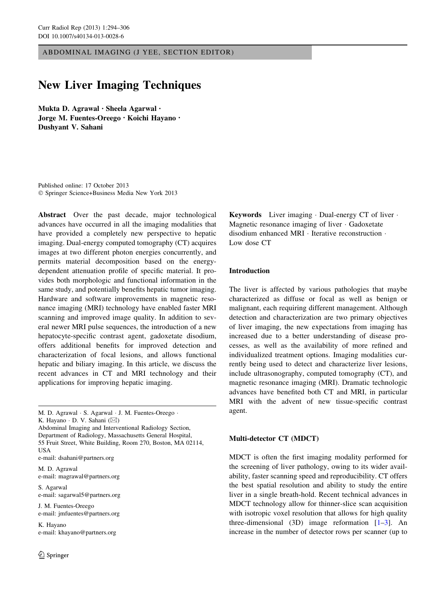ABDOMINAL IMAGING (J YEE, SECTION EDITOR)

# New Liver Imaging Techniques

Mukta D. Agrawal • Sheela Agarwal • Jorge M. Fuentes-Oreego • Koichi Hayano • Dushyant V. Sahani

Published online: 17 October 2013 - Springer Science+Business Media New York 2013

Abstract Over the past decade, major technological advances have occurred in all the imaging modalities that have provided a completely new perspective to hepatic imaging. Dual-energy computed tomography (CT) acquires images at two different photon energies concurrently, and permits material decomposition based on the energydependent attenuation profile of specific material. It provides both morphologic and functional information in the same study, and potentially benefits hepatic tumor imaging. Hardware and software improvements in magnetic resonance imaging (MRI) technology have enabled faster MRI scanning and improved image quality. In addition to several newer MRI pulse sequences, the introduction of a new hepatocyte-specific contrast agent, gadoxetate disodium, offers additional benefits for improved detection and characterization of focal lesions, and allows functional hepatic and biliary imaging. In this article, we discuss the recent advances in CT and MRI technology and their applications for improving hepatic imaging.

M. D. Agrawal · S. Agarwal · J. M. Fuentes-Oreego · K. Hayano ⋅ D. V. Sahani (⊠) Abdominal Imaging and Interventional Radiology Section, Department of Radiology, Massachusetts General Hospital,

55 Fruit Street, White Building, Room 270, Boston, MA 02114, USA

e-mail: dsahani@partners.org

M. D. Agrawal e-mail: magrawal@partners.org

S. Agarwal e-mail: sagarwal5@partners.org

J. M. Fuentes-Oreego e-mail: jmfuentes@partners.org

K. Hayano e-mail: khayano@partners.org

Keywords Liver imaging - Dual-energy CT of liver - Magnetic resonance imaging of liver · Gadoxetate disodium enhanced MRI · Iterative reconstruction · Low dose CT

# Introduction

The liver is affected by various pathologies that maybe characterized as diffuse or focal as well as benign or malignant, each requiring different management. Although detection and characterization are two primary objectives of liver imaging, the new expectations from imaging has increased due to a better understanding of disease processes, as well as the availability of more refined and individualized treatment options. Imaging modalities currently being used to detect and characterize liver lesions, include ultrasonography, computed tomography (CT), and magnetic resonance imaging (MRI). Dramatic technologic advances have benefited both CT and MRI, in particular MRI with the advent of new tissue-specific contrast agent.

# Multi-detector CT (MDCT)

MDCT is often the first imaging modality performed for the screening of liver pathology, owing to its wider availability, faster scanning speed and reproducibility. CT offers the best spatial resolution and ability to study the entire liver in a single breath-hold. Recent technical advances in MDCT technology allow for thinner-slice scan acquisition with isotropic voxel resolution that allows for high quality three-dimensional (3D) image reformation  $[1-3]$ . An increase in the number of detector rows per scanner (up to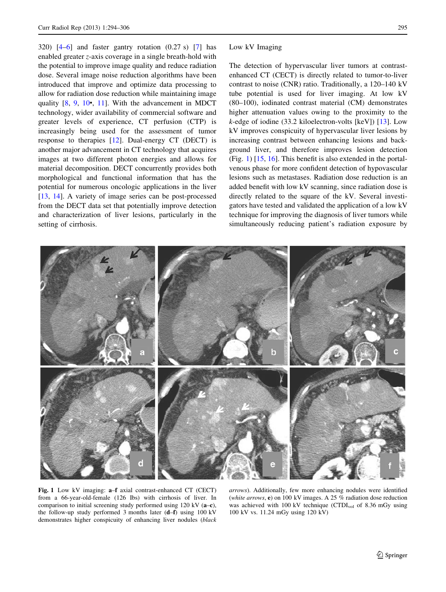320) [[4–6\]](#page-10-0) and faster gantry rotation (0.27 s) [\[7](#page-10-0)] has enabled greater z-axis coverage in a single breath-hold with the potential to improve image quality and reduce radiation dose. Several image noise reduction algorithms have been introduced that improve and optimize data processing to allow for radiation dose reduction while maintaining image quality [[8,](#page-10-0) [9](#page-10-0), [10](#page-10-0)•, [11](#page-10-0)]. With the advancement in MDCT technology, wider availability of commercial software and greater levels of experience, CT perfusion (CTP) is increasingly being used for the assessment of tumor response to therapies [\[12](#page-10-0)]. Dual-energy CT (DECT) is another major advancement in CT technology that acquires images at two different photon energies and allows for material decomposition. DECT concurrently provides both morphological and functional information that has the potential for numerous oncologic applications in the liver [\[13](#page-10-0), [14\]](#page-10-0). A variety of image series can be post-processed from the DECT data set that potentially improve detection and characterization of liver lesions, particularly in the setting of cirrhosis.

#### Low kV Imaging

The detection of hypervascular liver tumors at contrastenhanced CT (CECT) is directly related to tumor-to-liver contrast to noise (CNR) ratio. Traditionally, a 120–140 kV tube potential is used for liver imaging. At low kV (80–100), iodinated contrast material (CM) demonstrates higher attenuation values owing to the proximity to the k-edge of iodine (33.2 kiloelectron-volts [keV]) [[13\]](#page-10-0). Low kV improves conspicuity of hypervascular liver lesions by increasing contrast between enhancing lesions and background liver, and therefore improves lesion detection (Fig. 1) [[15,](#page-10-0) [16\]](#page-10-0). This benefit is also extended in the portalvenous phase for more confident detection of hypovascular lesions such as metastases. Radiation dose reduction is an added benefit with low kV scanning, since radiation dose is directly related to the square of the kV. Several investigators have tested and validated the application of a low kV technique for improving the diagnosis of liver tumors while simultaneously reducing patient's radiation exposure by



Fig. 1 Low kV imaging: a–f axial contrast-enhanced CT (CECT) from a 66-year-old-female (126 Ibs) with cirrhosis of liver. In comparison to initial screening study performed using 120 kV (a-c), the follow-up study performed 3 months later (d–f) using 100 kV demonstrates higher conspicuity of enhancing liver nodules (black

arrows). Additionally, few more enhancing nodules were identified (white arrows, e) on 100 kV images. A 25 % radiation dose reduction was achieved with 100 kV technique (CTDI<sub>vol</sub> of 8.36 mGy using 100 kV vs. 11.24 mGy using 120 kV)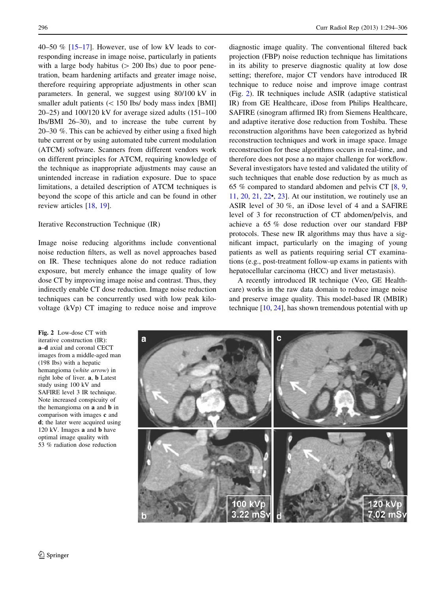40–50 %  $[15-17]$ . However, use of low kV leads to corresponding increase in image noise, particularly in patients with a large body habitus  $(> 200$  Ibs) due to poor penetration, beam hardening artifacts and greater image noise, therefore requiring appropriate adjustments in other scan parameters. In general, we suggest using 80/100 kV in smaller adult patients  $(< 150$  Ibs/ body mass index [BMI] 20–25) and 100/120 kV for average sized adults (151–100 Ibs/BMI 26–30), and to increase the tube current by 20–30 %. This can be achieved by either using a fixed high tube current or by using automated tube current modulation (ATCM) software. Scanners from different vendors work on different principles for ATCM, requiring knowledge of the technique as inappropriate adjustments may cause an unintended increase in radiation exposure. Due to space limitations, a detailed description of ATCM techniques is beyond the scope of this article and can be found in other review articles [\[18](#page-10-0), [19](#page-10-0)].

## Iterative Reconstruction Technique (IR)

Image noise reducing algorithms include conventional noise reduction filters, as well as novel approaches based on IR. These techniques alone do not reduce radiation exposure, but merely enhance the image quality of low dose CT by improving image noise and contrast. Thus, they indirectly enable CT dose reduction. Image noise reduction techniques can be concurrently used with low peak kilovoltage (kVp) CT imaging to reduce noise and improve diagnostic image quality. The conventional filtered back projection (FBP) noise reduction technique has limitations in its ability to preserve diagnostic quality at low dose setting; therefore, major CT vendors have introduced IR technique to reduce noise and improve image contrast (Fig. 2). IR techniques include ASIR (adaptive statistical IR) from GE Healthcare, iDose from Philips Healthcare, SAFIRE (sinogram affirmed IR) from Siemens Healthcare, and adaptive iterative dose reduction from Toshiba. These reconstruction algorithms have been categorized as hybrid reconstruction techniques and work in image space. Image reconstruction for these algorithms occurs in real-time, and therefore does not pose a no major challenge for workflow. Several investigators have tested and validated the utility of such techniques that enable dose reduction by as much as 65 % compared to standard abdomen and pelvis CT [\[8](#page-10-0), [9,](#page-10-0) [11](#page-10-0), [20,](#page-10-0) [21,](#page-10-0) [22](#page-10-0)•, [23\]](#page-10-0). At our institution, we routinely use an ASIR level of 30 %, an iDose level of 4 and a SAFIRE level of 3 for reconstruction of CT abdomen/pelvis, and achieve a 65 % dose reduction over our standard FBP protocols. These new IR algorithms may thus have a significant impact, particularly on the imaging of young patients as well as patients requiring serial CT examinations (e.g., post-treatment follow-up exams in patients with hepatocellular carcinoma (HCC) and liver metastasis).

A recently introduced IR technique (Veo, GE Healthcare) works in the raw data domain to reduce image noise and preserve image quality. This model-based IR (MBIR) technique [[10,](#page-10-0) [24\]](#page-10-0), has shown tremendous potential with up

Fig. 2 Low-dose CT with iterative construction (IR): a–d axial and coronal CECT images from a middle-aged man (198 Ibs) with a hepatic hemangioma (white arrow) in right lobe of liver. a, b Latest study using 100 kV and SAFIRE level 3 IR technique. Note increased conspicuity of the hemangioma on a and b in comparison with images c and d; the later were acquired using 120 kV. Images a and b have optimal image quality with 53 % radiation dose reduction

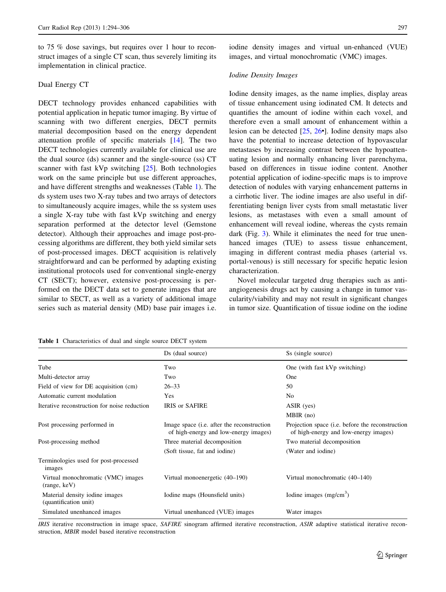to 75 % dose savings, but requires over 1 hour to reconstruct images of a single CT scan, thus severely limiting its implementation in clinical practice.

## Dual Energy CT

DECT technology provides enhanced capabilities with potential application in hepatic tumor imaging. By virtue of scanning with two different energies, DECT permits material decomposition based on the energy dependent attenuation profile of specific materials [[14\]](#page-10-0). The two DECT technologies currently available for clinical use are the dual source (ds) scanner and the single-source (ss) CT scanner with fast kVp switching [[25\]](#page-11-0). Both technologies work on the same principle but use different approaches, and have different strengths and weaknesses (Table 1). The ds system uses two X-ray tubes and two arrays of detectors to simultaneously acquire images, while the ss system uses a single X-ray tube with fast kVp switching and energy separation performed at the detector level (Gemstone detector). Although their approaches and image post-processing algorithms are different, they both yield similar sets of post-processed images. DECT acquisition is relatively straightforward and can be performed by adapting existing institutional protocols used for conventional single-energy CT (SECT); however, extensive post-processing is performed on the DECT data set to generate images that are similar to SECT, as well as a variety of additional image series such as material density (MD) base pair images i.e.

iodine density images and virtual un-enhanced (VUE) images, and virtual monochromatic (VMC) images.

## Iodine Density Images

Iodine density images, as the name implies, display areas of tissue enhancement using iodinated CM. It detects and quantifies the amount of iodine within each voxel, and therefore even a small amount of enhancement within a lesion can be detected [[25,](#page-11-0) [26](#page-11-0)•]. Iodine density maps also have the potential to increase detection of hypovascular metastases by increasing contrast between the hypoattenuating lesion and normally enhancing liver parenchyma, based on differences in tissue iodine content. Another potential application of iodine-specific maps is to improve detection of nodules with varying enhancement patterns in a cirrhotic liver. The iodine images are also useful in differentiating benign liver cysts from small metastatic liver lesions, as metastases with even a small amount of enhancement will reveal iodine, whereas the cysts remain dark (Fig. [3](#page-4-0)). While it eliminates the need for true unenhanced images (TUE) to assess tissue enhancement, imaging in different contrast media phases (arterial vs. portal-venous) is still necessary for specific hepatic lesion characterization.

Novel molecular targeted drug therapies such as antiangiogenesis drugs act by causing a change in tumor vascularity/viability and may not result in significant changes in tumor size. Quantification of tissue iodine on the iodine

|                                                         | Ds (dual source)                                                                            | Ss (single source)                                                                                |  |
|---------------------------------------------------------|---------------------------------------------------------------------------------------------|---------------------------------------------------------------------------------------------------|--|
| Tube                                                    | Two                                                                                         | One (with fast kVp switching)                                                                     |  |
| Multi-detector array                                    | Two                                                                                         | One                                                                                               |  |
| Field of view for DE acquisition (cm)                   | $26 - 33$                                                                                   | 50                                                                                                |  |
| Automatic current modulation                            | Yes                                                                                         | No.                                                                                               |  |
| Iterative reconstruction for noise reduction            | <b>IRIS or SAFIRE</b>                                                                       | ASIR (yes)                                                                                        |  |
|                                                         |                                                                                             | $MBIR$ (no)                                                                                       |  |
| Post processing performed in                            | Image space ( <i>i.e.</i> after the reconstruction<br>of high-energy and low-energy images) | Projection space ( <i>i.e.</i> before the reconstruction<br>of high-energy and low-energy images) |  |
| Post-processing method                                  | Three material decomposition                                                                | Two material decomposition                                                                        |  |
|                                                         | (Soft tissue, fat and iodine)                                                               | (Water and iodine)                                                                                |  |
| Terminologies used for post-processed<br>images         |                                                                                             |                                                                                                   |  |
| Virtual monochromatic (VMC) images<br>(range, keV)      | Virtual monoenergetic (40–190)                                                              | Virtual monochromatic (40–140)                                                                    |  |
| Material density iodine images<br>(quantification unit) | Iodine maps (Hounsfield units)                                                              | Iodine images $(mg/cm3)$                                                                          |  |
| Simulated unenhanced images                             | Virtual unenhanced (VUE) images                                                             | Water images                                                                                      |  |

Table 1 Characteristics of dual and single source DECT system

IRIS iterative reconstruction in image space, SAFIRE sinogram affirmed iterative reconstruction, ASIR adaptive statistical iterative reconstruction, MBIR model based iterative reconstruction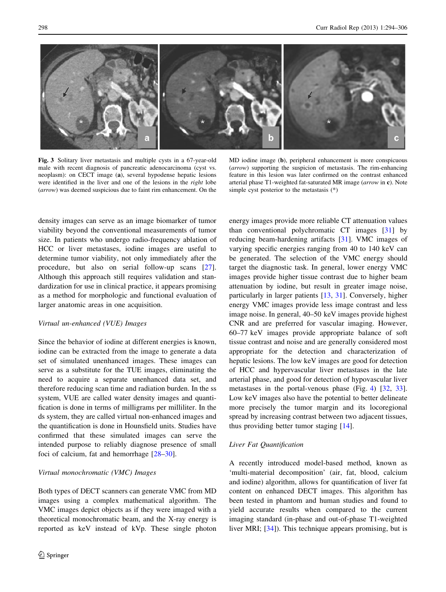<span id="page-4-0"></span>

Fig. 3 Solitary liver metastasis and multiple cysts in a 67-year-old male with recent diagnosis of pancreatic adenocarcinoma (cyst vs. neoplasm): on CECT image (a), several hypodense hepatic lesions were identified in the liver and one of the lesions in the *right* lobe (arrow) was deemed suspicious due to faint rim enhancement. On the

MD iodine image (b), peripheral enhancement is more conspicuous (arrow) supporting the suspicion of metastasis. The rim-enhancing feature in this lesion was later confirmed on the contrast enhanced arterial phase T1-weighted fat-saturated MR image (arrow in c). Note simple cyst posterior to the metastasis (\*)

density images can serve as an image biomarker of tumor viability beyond the conventional measurements of tumor size. In patients who undergo radio-frequency ablation of HCC or liver metastases, iodine images are useful to determine tumor viability, not only immediately after the procedure, but also on serial follow-up scans [\[27](#page-11-0)]. Although this approach still requires validation and standardization for use in clinical practice, it appears promising as a method for morphologic and functional evaluation of larger anatomic areas in one acquisition.

## Virtual un-enhanced (VUE) Images

Since the behavior of iodine at different energies is known, iodine can be extracted from the image to generate a data set of simulated unenhanced images. These images can serve as a substitute for the TUE images, eliminating the need to acquire a separate unenhanced data set, and therefore reducing scan time and radiation burden. In the ss system, VUE are called water density images and quantification is done in terms of milligrams per milliliter. In the ds system, they are called virtual non-enhanced images and the quantification is done in Hounsfield units. Studies have confirmed that these simulated images can serve the intended purpose to reliably diagnose presence of small foci of calcium, fat and hemorrhage [\[28–30](#page-11-0)].

## Virtual monochromatic (VMC) Images

Both types of DECT scanners can generate VMC from MD images using a complex mathematical algorithm. The VMC images depict objects as if they were imaged with a theoretical monochromatic beam, and the X-ray energy is reported as keV instead of kVp. These single photon energy images provide more reliable CT attenuation values than conventional polychromatic CT images [[31\]](#page-11-0) by reducing beam-hardening artifacts [[31\]](#page-11-0). VMC images of varying specific energies ranging from 40 to 140 keV can be generated. The selection of the VMC energy should target the diagnostic task. In general, lower energy VMC images provide higher tissue contrast due to higher beam attenuation by iodine, but result in greater image noise, particularly in larger patients [[13,](#page-10-0) [31\]](#page-11-0). Conversely, higher energy VMC images provide less image contrast and less image noise. In general, 40–50 keV images provide highest CNR and are preferred for vascular imaging. However, 60–77 keV images provide appropriate balance of soft tissue contrast and noise and are generally considered most appropriate for the detection and characterization of hepatic lesions. The low keV images are good for detection of HCC and hypervascular liver metastases in the late arterial phase, and good for detection of hypovascular liver metastases in the portal-venous phase (Fig. [4](#page-5-0)) [[32,](#page-11-0) [33](#page-11-0)]. Low keV images also have the potential to better delineate more precisely the tumor margin and its locoregional spread by increasing contrast between two adjacent tissues, thus providing better tumor staging [\[14](#page-10-0)].

#### Liver Fat Quantification

A recently introduced model-based method, known as 'multi-material decomposition' (air, fat, blood, calcium and iodine) algorithm, allows for quantification of liver fat content on enhanced DECT images. This algorithm has been tested in phantom and human studies and found to yield accurate results when compared to the current imaging standard (in-phase and out-of-phase T1-weighted liver MRI; [[34\]](#page-11-0)). This technique appears promising, but is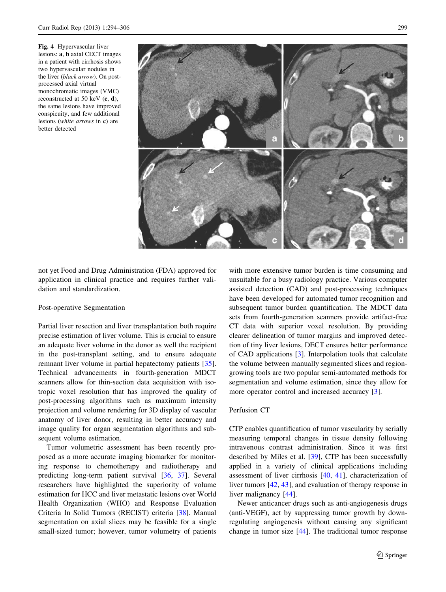<span id="page-5-0"></span>Fig. 4 Hypervascular liver lesions: a, b axial CECT images in a patient with cirrhosis shows two hypervascular nodules in the liver (black arrow). On postprocessed axial virtual monochromatic images (VMC) reconstructed at 50 keV (c, d), the same lesions have improved conspicuity, and few additional lesions (white arrows in c) are

better detected

not yet Food and Drug Administration (FDA) approved for application in clinical practice and requires further validation and standardization. Post-operative Segmentation

Partial liver resection and liver transplantation both require precise estimation of liver volume. This is crucial to ensure an adequate liver volume in the donor as well the recipient in the post-transplant setting, and to ensure adequate remnant liver volume in partial hepatectomy patients [\[35](#page-11-0)]. Technical advancements in fourth-generation MDCT scanners allow for thin-section data acquisition with isotropic voxel resolution that has improved the quality of post-processing algorithms such as maximum intensity projection and volume rendering for 3D display of vascular anatomy of liver donor, resulting in better accuracy and image quality for organ segmentation algorithms and subsequent volume estimation.

Tumor volumetric assessment has been recently proposed as a more accurate imaging biomarker for monitoring response to chemotherapy and radiotherapy and predicting long-term patient survival [[36,](#page-11-0) [37](#page-11-0)]. Several researchers have highlighted the superiority of volume estimation for HCC and liver metastatic lesions over World Health Organization (WHO) and Response Evaluation Criteria In Solid Tumors (RECIST) criteria [[38\]](#page-11-0). Manual segmentation on axial slices may be feasible for a single small-sized tumor; however, tumor volumetry of patients

with more extensive tumor burden is time consuming and unsuitable for a busy radiology practice. Various computer assisted detection (CAD) and post-processing techniques have been developed for automated tumor recognition and subsequent tumor burden quantification. The MDCT data sets from fourth-generation scanners provide artifact-free CT data with superior voxel resolution. By providing clearer delineation of tumor margins and improved detection of tiny liver lesions, DECT ensures better performance of CAD applications [[3\]](#page-10-0). Interpolation tools that calculate the volume between manually segmented slices and regiongrowing tools are two popular semi-automated methods for segmentation and volume estimation, since they allow for more operator control and increased accuracy [[3\]](#page-10-0).

## Perfusion CT

CTP enables quantification of tumor vascularity by serially measuring temporal changes in tissue density following intravenous contrast administration. Since it was first described by Miles et al. [\[39](#page-11-0)], CTP has been successfully applied in a variety of clinical applications including assessment of liver cirrhosis [\[40](#page-11-0), [41\]](#page-11-0), characterization of liver tumors [[42,](#page-11-0) [43\]](#page-11-0), and evaluation of therapy response in liver malignancy [\[44](#page-11-0)].

Newer anticancer drugs such as anti-angiogenesis drugs (anti-VEGF), act by suppressing tumor growth by downregulating angiogenesis without causing any significant change in tumor size [[44\]](#page-11-0). The traditional tumor response

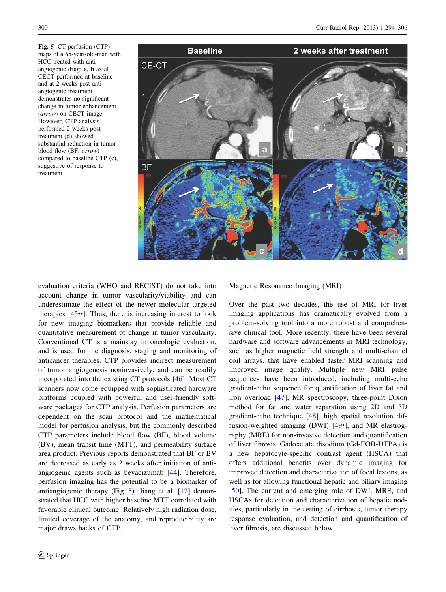Fig. 5 CT perfusion (CTP) maps of a 65-year-old-man with HCC treated with antiangiogenic drug: a, b axial CECT performed at baseline and at 2-weeks post-anti– angiogenic treatment demonstrates no significant change in tumor enhancement (arrow) on CECT image. However, CTP analysis performed 2-weeks posttreatment (d) showed substantial reduction in tumor blood flow (BF; arrow) compared to baseline CTP (c), suggestive of response to treatment



evaluation criteria (WHO and RECIST) do not take into account change in tumor vascularity/viability and can underestimate the effect of the newer molecular targeted therapies [\[45](#page-11-0)••]. Thus, there is increasing interest to look for new imaging biomarkers that provide reliable and quantitative measurement of change in tumor vascularity. Conventional CT is a mainstay in oncologic evaluation, and is used for the diagnosis, staging and monitoring of anticancer therapies. CTP provides indirect measurement of tumor angiogenesis noninvasively, and can be readily incorporated into the existing CT protocols [[46\]](#page-11-0). Most CT scanners now come equipped with sophisticated hardware platforms coupled with powerful and user-friendly software packages for CTP analysis. Perfusion parameters are dependent on the scan protocol and the mathematical model for perfusion analysis, but the commonly described CTP parameters include blood flow (BF), blood volume (BV), mean transit time (MTT), and permeability surface area product. Previous reports demonstrated that BF or BV are decreased as early as 2 weeks after initiation of antiangiogenic agents such as bevacizumab [[44\]](#page-11-0). Therefore, perfusion imaging has the potential to be a biomarker of antiangiogenic therapy (Fig. 5). Jiang et al. [[12\]](#page-10-0) demonstrated that HCC with higher baseline MTT correlated with favorable clinical outcome. Relatively high radiation dose, limited coverage of the anatomy, and reproducibility are major draws backs of CTP.

 $\hat{\mathcal{D}}$  Springer

Magnetic Resonance Imaging (MRI)

Over the past two decades, the use of MRI for liver imaging applications has dramatically evolved from a problem-solving tool into a more robust and comprehensive clinical tool. More recently, there have been several hardware and software advancements in MRI technology, such as higher magnetic field strength and multi-channel coil arrays, that have enabled faster MRI scanning and improved image quality. Multiple new MRI pulse sequences have been introduced, including multi-echo gradient-echo sequence for quantification of liver fat and iron overload [\[47](#page-11-0)], MR spectroscopy, three-point Dixon method for fat and water separation using 2D and 3D gradient-echo technique [\[48](#page-11-0)], high spatial resolution diffusion-weighted imaging (DWI) [\[49](#page-11-0)•], and MR elastrography (MRE) for non-invasive detection and quantification of liver fibrosis. Gadoxetate disodium (Gd-EOB-DTPA) is a new hepatocyte-specific contrast agent (HSCA) that offers additional benefits over dynamic imaging for improved detection and characterization of focal lesions, as well as for allowing functional hepatic and biliary imaging [\[50](#page-11-0)]. The current and emerging role of DWI, MRE, and HSCAs for detection and characterization of hepatic nodules, particularly in the setting of cirrhosis, tumor therapy response evaluation, and detection and quantification of liver fibrosis, are discussed below.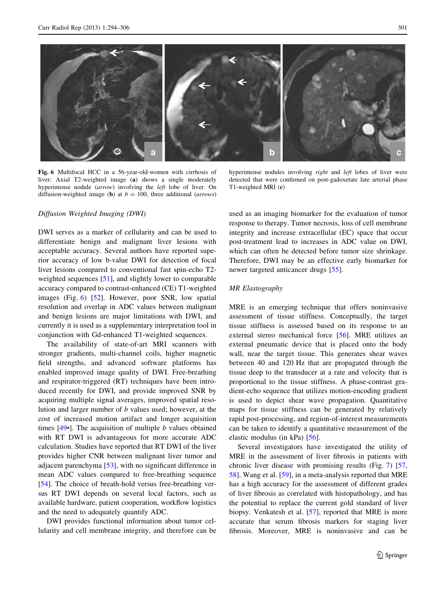

Fig. 6 Multifocal HCC in a 56-year-old-women with cirrhosis of liver: Axial T2-weighted image (a) shows a single moderately hyperintense nodule (arrow) involving the left lobe of liver. On diffusion-weighted image (b) at  $b = 100$ , three additional (*arrows*)

hyperintense nodules involving right and left lobes of liver were detected that were confirmed on post-gadoxetate late arterial phase T1-weighted MRI (c)

## Diffusion Weighted Imaging (DWI)

DWI serves as a marker of cellularity and can be used to differentiate benign and malignant liver lesions with acceptable accuracy. Several authors have reported superior accuracy of low b-value DWI for detection of focal liver lesions compared to conventional fast spin-echo T2 weighted sequences [\[51](#page-11-0)], and slightly lower to comparable accuracy compared to contrast-enhanced (CE) T1-weighted images (Fig. 6) [[52\]](#page-11-0). However, poor SNR, low spatial resolution and overlap in ADC values between malignant and benign lesions are major limitations with DWI, and currently it is used as a supplementary interpretation tool in conjunction with Gd-enhanced T1-weighted sequences.

The availability of state-of-art MRI scanners with stronger gradients, multi-channel coils, higher magnetic field strengths, and advanced software platforms has enabled improved image quality of DWI. Free-breathing and respirator-triggered (RT) techniques have been introduced recently for DWI, and provide improved SNR by acquiring multiple signal averages, improved spatial resolution and larger number of b values used; however, at the cost of increased motion artifact and longer acquisition times  $[49\textdegree]$  $[49\textdegree]$  $[49\textdegree]$ . The acquisition of multiple *b* values obtained with RT DWI is advantageous for more accurate ADC calculation. Studies have reported that RT DWI of the liver provides higher CNR between malignant liver tumor and adjacent parenchyma [\[53](#page-11-0)], with no significant difference in mean ADC values compared to free-breathing sequence [\[54](#page-11-0)]. The choice of breath-hold versus free-breathing versus RT DWI depends on several local factors, such as available hardware, patient cooperation, workflow logistics and the need to adequately quantify ADC.

DWI provides functional information about tumor cellularity and cell membrane integrity, and therefore can be used as an imaging biomarker for the evaluation of tumor response to therapy. Tumor necrosis, loss of cell membrane integrity and increase extracellular (EC) space that occur post-treatment lead to increases in ADC value on DWI, which can often be detected before tumor size shrinkage. Therefore, DWI may be an effective early biomarker for newer targeted anticancer drugs [[55\]](#page-11-0).

## MR Elastography

MRE is an emerging technique that offers noninvasive assessment of tissue stiffness. Conceptually, the target tissue stiffness is assessed based on its response to an external stereo mechanical force [[56\]](#page-11-0). MRE utilizes an external pneumatic device that is placed onto the body wall, near the target tissue. This generates shear waves between 40 and 120 Hz that are propagated through the tissue deep to the transducer at a rate and velocity that is proportional to the tissue stiffness. A phase-contrast gradient-echo sequence that utilizes motion-encoding gradient is used to depict shear wave propagation. Quantitative maps for tissue stiffness can be generated by relatively rapid post-processing, and region-of-interest measurements can be taken to identify a quantitative measurement of the elastic modulus (in kPa) [\[56](#page-11-0)].

Several investigators have investigated the utility of MRE in the assessment of liver fibrosis in patients with chronic liver disease with promising results (Fig. [7\)](#page-8-0) [[57,](#page-11-0) [58](#page-11-0)]. Wang et al. [\[59](#page-11-0)], in a meta-analysis reported that MRE has a high accuracy for the assessment of different grades of liver fibrosis as correlated with histopathology, and has the potential to replace the current gold standard of liver biopsy. Venkatesh et al. [[57\]](#page-11-0), reported that MRE is more accurate that serum fibrosis markers for staging liver fibrosis. Moreover, MRE is noninvasive and can be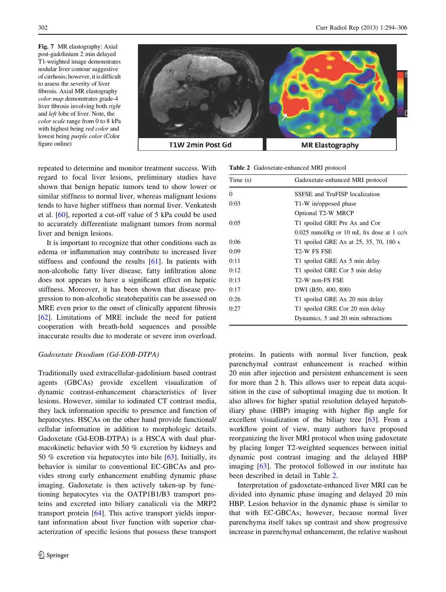<span id="page-8-0"></span>Fig. 7 MR elastography: Axial post-gadolinium 2 min delayed T1-weighted image demonstrates nodular liver contour suggestive of cirrhosis; however, it is difficult to assess the severity of liver fibrosis. Axial MR elastography color map demonstrates grade-4 liver fibrosis involving both right and left lobe of liver. Note, the color scale range from 0 to 8 kPa with highest being *red color* and lowest being purple color (Color figure online)



repeated to determine and monitor treatment success. With regard to focal liver lesions, preliminary studies have shown that benign hepatic tumors tend to show lower or similar stiffness to normal liver, whereas malignant lesions tends to have higher stiffness than normal liver. Venkatesh et al. [\[60](#page-11-0)], reported a cut-off value of 5 kPa could be used to accurately differentiate malignant tumors from normal liver and benign lesions.

It is important to recognize that other conditions such as edema or inflammation may contribute to increased liver stiffness and confound the results [[61\]](#page-11-0). In patients with non-alcoholic fatty liver disease, fatty infiltration alone does not appears to have a significant effect on hepatic stiffness. Moreover, it has been shown that disease progression to non-alcoholic steatohepatitis can be assessed on MRE even prior to the onset of clinically apparent fibrosis [\[62](#page-12-0)]. Limitations of MRE include the need for patient cooperation with breath-hold sequences and possible inaccurate results due to moderate or severe iron overload.

## Gadoxetate Disodium (Gd-EOB-DTPA)

Traditionally used extracellular-gadolinium based contrast agents (GBCAs) provide excellent visualization of dynamic contrast-enhancement characteristics of liver lesions. However, similar to iodinated CT contrast media, they lack information specific to presence and function of hepatocytes. HSCAs on the other hand provide functional/ cellular information in addition to morphologic details. Gadoxetate (Gd-EOB-DTPA) is a HSCA with dual pharmacokinetic behavior with 50 % excretion by kidneys and 50 % excretion via hepatocytes into bile [\[63](#page-12-0)]. Initially, its behavior is similar to conventional EC-GBCAs and provides strong early enhancement enabling dynamic phase imaging. Gadoxetate is then actively taken-up by functioning hepatocytes via the OATP1B1/B3 transport proteins and excreted into biliary canaliculi via the MRP2 transport protein [[64\]](#page-12-0). This active transport yields important information about liver function with superior characterization of specific lesions that possess these transport

|  |  | Table 2 Gadoxetate-enhanced MRI protocol |  |  |
|--|--|------------------------------------------|--|--|
|--|--|------------------------------------------|--|--|

| Time $(s)$ | Gadoxetate-enhanced MRI protocol            |  |
|------------|---------------------------------------------|--|
| $\Omega$   | SSFSE and TruFISP localization              |  |
| 0:03       | T1-W in/opposed phase                       |  |
|            | Optional T2-W MRCP                          |  |
| 0:0.5      | T1 spoiled GRE Pre Ax and Cor               |  |
|            | $0.025$ mmol/kg or 10 mL fix dose at 1 cc/s |  |
| 0:06       | T1 spoiled GRE Ax at 25, 35, 70, 180 s      |  |
| 0:09       | T2-W FS FSE                                 |  |
| 0:11       | T1 spoiled GRE Ax 5 min delay               |  |
| 0:12       | T1 spoiled GRE Cor 5 min delay              |  |
| 0:13       | T2-W non-FS FSE                             |  |
| 0:17       | DWI (B50, 400, 800)                         |  |
| 0:26       | T1 spoiled GRE Ax 20 min delay              |  |
| 0:27       | T1 spoiled GRE Cor 20 min delay             |  |
|            | Dynamics, 5 and 20 min subtractions         |  |

proteins. In patients with normal liver function, peak parenchymal contrast enhancement is reached within 20 min after injection and persistent enhancement is seen for more than 2 h. This allows user to repeat data acquisition in the case of suboptimal imaging due to motion. It also allows for higher spatial resolution delayed hepatobiliary phase (HBP) imaging with higher flip angle for excellent visualization of the biliary tree [\[63](#page-12-0)]. From a workflow point of view, many authors have proposed reorganizing the liver MRI protocol when using gadoxetate by placing longer T2-weighted sequences between initial dynamic post contrast imaging and the delayed HBP imaging [[63\]](#page-12-0). The protocol followed in our institute has been described in detail in Table 2.

Interpretation of gadoxetate-enhanced liver MRI can be divided into dynamic phase imaging and delayed 20 min HBP. Lesion behavior in the dynamic phase is similar to that with EC-GBCAs; however, because normal liver parenchyma itself takes up contrast and show progressive increase in parenchymal enhancement, the relative washout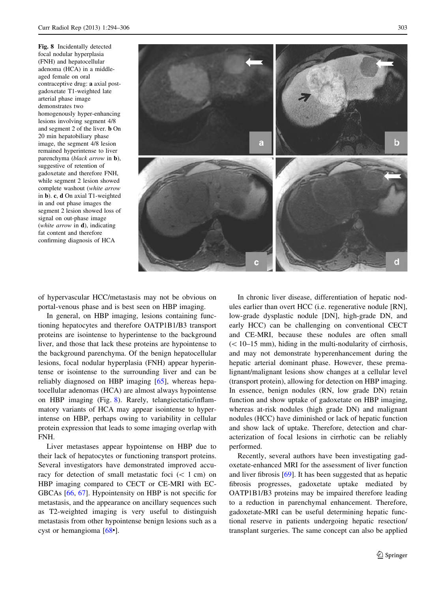Fig. 8 Incidentally detected focal nodular hyperplasia (FNH) and hepatocellular adenoma (HCA) in a middleaged female on oral contraceptive drug: a axial postgadoxetate T1-weighted late arterial phase image demonstrates two homogenously hyper-enhancing lesions involving segment 4/8 and segment 2 of the liver. b On 20 min hepatobiliary phase image, the segment 4/8 lesion remained hyperintense to liver parenchyma (black arrow in b), suggestive of retention of gadoxetate and therefore FNH, while segment 2 lesion showed complete washout (white arrow in b). c, d On axial T1-weighted in and out phase images the segment 2 lesion showed loss of signal on out-phase image (white arrow in d), indicating fat content and therefore confirming diagnosis of HCA



of hypervascular HCC/metastasis may not be obvious on portal-venous phase and is best seen on HBP imaging.

In general, on HBP imaging, lesions containing functioning hepatocytes and therefore OATP1B1/B3 transport proteins are isointense to hyperintense to the background liver, and those that lack these proteins are hypointense to the background parenchyma. Of the benign hepatocellular lesions, focal nodular hyperplasia (FNH) appear hyperintense or isointense to the surrounding liver and can be reliably diagnosed on HBP imaging [[65\]](#page-12-0), whereas hepatocellular adenomas (HCA) are almost always hypointense on HBP imaging (Fig. 8). Rarely, telangiectatic/inflammatory variants of HCA may appear isointense to hyperintense on HBP, perhaps owing to variability in cellular protein expression that leads to some imaging overlap with FNH.

Liver metastases appear hypointense on HBP due to their lack of hepatocytes or functioning transport proteins. Several investigators have demonstrated improved accuracy for detection of small metastatic foci  $(< 1 \text{ cm})$  on HBP imaging compared to CECT or CE-MRI with EC-GBCAs [[66,](#page-12-0) [67](#page-12-0)]. Hypointensity on HBP is not specific for metastasis, and the appearance on ancillary sequences such as T2-weighted imaging is very useful to distinguish metastasis from other hypointense benign lesions such as a cyst or hemangioma [[68](#page-12-0)•].

In chronic liver disease, differentiation of hepatic nodules earlier than overt HCC (i.e. regenerative nodule [RN], low-grade dysplastic nodule [DN], high-grade DN, and early HCC) can be challenging on conventional CECT and CE-MRI, because these nodules are often small  $(< 10-15$  mm), hiding in the multi-nodularity of cirrhosis, and may not demonstrate hyperenhancement during the hepatic arterial dominant phase. However, these premalignant/malignant lesions show changes at a cellular level (transport protein), allowing for detection on HBP imaging. In essence, benign nodules (RN, low grade DN) retain function and show uptake of gadoxetate on HBP imaging, whereas at-risk nodules (high grade DN) and malignant nodules (HCC) have diminished or lack of hepatic function and show lack of uptake. Therefore, detection and characterization of focal lesions in cirrhotic can be reliably performed.

Recently, several authors have been investigating gadoxetate-enhanced MRI for the assessment of liver function and liver fibrosis [[69\]](#page-12-0). It has been suggested that as hepatic fibrosis progresses, gadoxetate uptake mediated by OATP1B1/B3 proteins may be impaired therefore leading to a reduction in parenchymal enhancement. Therefore, gadoxetate-MRI can be useful determining hepatic functional reserve in patients undergoing hepatic resection/ transplant surgeries. The same concept can also be applied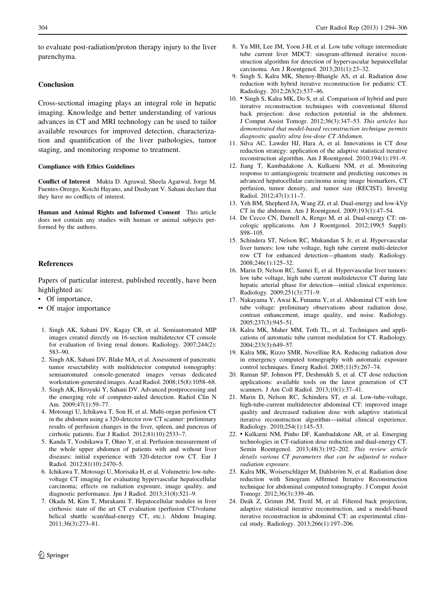<span id="page-10-0"></span>to evaluate post-radiation/proton therapy injury to the liver parenchyma.

## Conclusion

Cross-sectional imaging plays an integral role in hepatic imaging. Knowledge and better understanding of various advances in CT and MRI technology can be used to tailor available resources for improved detection, characterization and quantification of the liver pathologies, tumor staging, and monitoring response to treatment.

### Compliance with Ethics Guidelines

Conflict of Interest Mukta D. Agrawal, Sheela Agarwal, Jorge M. Fuentes-Oreego, Koichi Hayano, and Dushyant V. Sahani declare that they have no conflicts of interest.

Human and Animal Rights and Informed Consent This article does not contain any studies with human or animal subjects performed by the authors.

## References

Papers of particular interest, published recently, have been highlighted as:

- Of importance,
- •• Of major importance
- 1. Singh AK, Sahani DV, Kagay CR, et al. Semiautomated MIP images created directly on 16-section multidetector CT console for evaluation of living renal donors. Radiology. 2007;244(2): 583–90.
- 2. Singh AK, Sahani DV, Blake MA, et al. Assessment of pancreatic tumor resectability with multidetector computed tomography: semiautomated console-generated images versus dedicated workstation-generated images. Acad Radiol. 2008;15(8):1058–68.
- 3. Singh AK, Hiroyuki Y, Sahani DV. Advanced postprocessing and the emerging role of computer-aided detection. Radiol Clin N Am. 2009;47(1):59–77.
- 4. Motosugi U, Ichikawa T, Sou H, et al. Multi-organ perfusion CT in the abdomen using a 320-detector row CT scanner: preliminary results of perfusion changes in the liver, spleen, and pancreas of cirrhotic patients. Eur J Radiol. 2012;81(10):2533–7.
- 5. Kanda T, Yoshikawa T, Ohno Y, et al. Perfusion measurement of the whole upper abdomen of patients with and without liver diseases: initial experience with 320-detector row CT. Eur J Radiol. 2012;81(10):2470–5.
- 6. Ichikawa T, Motosugi U, Morisaka H, et al. Volumetric low-tubevoltage CT imaging for evaluating hypervascular hepatocellular carcinoma; effects on radiation exposure, image quality, and diagnostic performance. Jpn J Radiol. 2013;31(8):521–9.
- 7. Okada M, Kim T, Murakami T. Hepatocellular nodules in liver cirrhosis: state of the art CT evaluation (perfusion CT/volume helical shuttle scan/dual-energy CT, etc.). Abdom Imaging. 2011;36(3):273–81.
- 8. Yu MH, Lee JM, Yoon J-H, et al. Low tube voltage intermediate tube current liver MDCT: sinogram-affirmed iterative reconstruction algorithm for detection of hypervascular hepatocellular carcinoma. Am J Roentgenol. 2013;201(1):23–32.
- 9. Singh S, Kalra MK, Shenoy-Bhangle AS, et al. Radiation dose reduction with hybrid iterative reconstruction for pediatric CT. Radiology. 2012;263(2):537–46.
- 10. Singh S, Kalra MK, Do S, et al. Comparison of hybrid and pure iterative reconstruction techniques with conventional filtered back projection: dose reduction potential in the abdomen. J Comput Assist Tomogr. 2012;36(3):347–53. This articles has demonstrated that model-based reconstruction technique permits diagnostic quality ultra low-dose CT Abdomen.
- 11. Silva AC, Lawder HJ, Hara A, et al. Innovations in CT dose reduction strategy: application of the adaptive statistical iterative reconstruction algorithm. Am J Roentgenol. 2010;194(1):191–9.
- 12. Jiang T, Kambadakone A, Kulkarni NM, et al. Monitoring response to antiangiogenic treatment and predicting outcomes in advanced hepatocellular carcinoma using image biomarkers, CT perfusion, tumor density, and tumor size (RECIST). Investig Radiol. 2012;47(1):11–7.
- 13. Yeh BM, Shepherd JA, Wang ZJ, et al. Dual-energy and low-kVp CT in the abdomen. Am J Roentgenol. 2009;193(1):47–54.
- 14. De Cecco CN, Darnell A, Rengo M, et al. Dual-energy CT: oncologic applications. Am J Roentgenol. 2012;199(5 Suppl): S98–105.
- 15. Schindera ST, Nelson RC, Mukundan S Jr, et al. Hypervascular liver tumors: low tube voltage, high tube current multi-detector row CT for enhanced detection—phantom study. Radiology. 2008;246(1):125–32.
- 16. Marin D, Nelson RC, Samei E, et al. Hypervascular liver tumors: low tube voltage, high tube current multidetector CT during late hepatic arterial phase for detection—initial clinical experience. Radiology. 2009;251(3):771–9.
- 17. Nakayama Y, Awai K, Funama Y, et al. Abdominal CT with low tube voltage: preliminary observations about radiation dose, contrast enhancement, image quality, and noise. Radiology. 2005;237(3):945–51.
- 18. Kalra MK, Maher MM, Toth TL, et al. Techniques and applications of automatic tube current modulation for CT. Radiology. 2004;233(3):649–57.
- 19. Kalra MK, Rizzo SMR, Novelline RA. Reducing radiation dose in emergency computed tomography with automatic exposure control techniques. Emerg Radiol. 2005;11(5):267–74.
- 20. Raman SP, Johnson PT, Deshmukh S, et al. CT dose reduction applications: available tools on the latest generation of CT scanners. J Am Coll Radiol. 2013;10(1):37–41.
- 21. Marin D, Nelson RC, Schindera ST, et al. Low-tube-voltage, high-tube-current multidetector abdominal CT: improved image quality and decreased radiation dose with adaptive statistical iterative reconstruction algorithm—initial clinical experience. Radiology. 2010;254(1):145–53.
- 22. Kulkarni NM, Pinho DF, Kambadakone AR, et al. Emerging technologies in CT-radiation dose reduction and dual-energy CT. Semin Roentgenol. 2013;48(3):192–202. This review article details various CT parameters that can be adjusted to reduce radiation exposure.
- 23. Kalra MK, Woisetschläger M, Dahlström N, et al. Radiation dose reduction with Sinogram Affirmed Iterative Reconstruction technique for abdominal computed tomography. J Comput Assist Tomogr. 2012;36(3):339–46.
- 24. Dea´k Z, Grimm JM, Treitl M, et al. Filtered back projection, adaptive statistical iterative reconstruction, and a model-based iterative reconstruction in abdominal CT: an experimental clinical study. Radiology. 2013;266(1):197–206.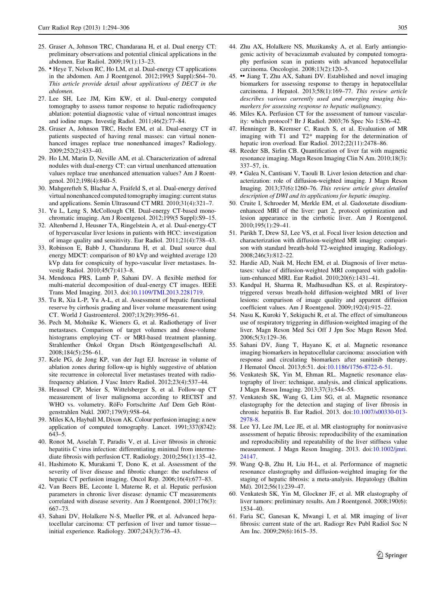abdomen.

- <span id="page-11-0"></span>abdomen. Eur Radiol. 2009;19(1):13–23. 26. • Heye T, Nelson RC, Ho LM, et al. Dual-energy CT applications in the abdomen. Am J Roentgenol. 2012;199(5 Suppl):S64–70. This article provide detail about applications of DECT in the
- 27. Lee SH, Lee JM, Kim KW, et al. Dual-energy computed tomography to assess tumor response to hepatic radiofrequency ablation: potential diagnostic value of virtual noncontrast images and iodine maps. Investig Radiol. 2011;46(2):77–84.
- 28. Graser A, Johnson TRC, Hecht EM, et al. Dual-energy CT in patients suspected of having renal masses: can virtual nonenhanced images replace true nonenhanced images? Radiology. 2009;252(2):433–40.
- 29. Ho LM, Marin D, Neville AM, et al. Characterization of adrenal nodules with dual-energy CT: can virtual unenhanced attenuation values replace true unenhanced attenuation values? Am J Roentgenol. 2012;198(4):840–5.
- 30. Mahgerefteh S, Blachar A, Fraifeld S, et al. Dual-energy derived virtual nonenhanced computed tomography imaging: current status and applications. Semin Ultrasound CT MRI. 2010;31(4):321–7.
- 31. Yu L, Leng S, McCollough CH. Dual-energy CT-based monochromatic imaging. Am J Roentgenol. 2012;199(5 Suppl):S9–15.
- 32. Altenbernd J, Heusner TA, Ringelstein A, et al. Dual-energy-CT of hypervascular liver lesions in patients with HCC: investigation of image quality and sensitivity. Eur Radiol. 2011;21(4):738–43.
- 33. Robinson E, Babb J, Chandarana H, et al. Dual source dual energy MDCT: comparison of 80 kVp and weighted average 120 kVp data for conspicuity of hypo-vascular liver metastases. Investig Radiol. 2010;45(7):413–8.
- 34. Mendonca PRS, Lamb P, Sahani DV. A flexible method for multi-material decomposition of dual-energy CT images. IEEE Trans Med Imaging. 2013. doi[:10.1109/TMI.2013.2281719.](http://dx.doi.org/10.1109/TMI.2013.2281719)
- 35. Tu R, Xia L-P, Yu A-L, et al. Assessment of hepatic functional reserve by cirrhosis grading and liver volume measurement using CT. World J Gastroenterol. 2007;13(29):3956–61.
- 36. Pech M, Mohnike K, Wieners G, et al. Radiotherapy of liver metastases. Comparison of target volumes and dose-volume histograms employing CT- or MRI-based treatment planning. Strahlenther Onkol Organ Dtsch Röntgengesellschaft Al. 2008;184(5):256–61.
- 37. Kele PG, de Jong KP, van der Jagt EJ. Increase in volume of ablation zones during follow-up is highly suggestive of ablation site recurrence in colorectal liver metastases treated with radiofrequency ablation. J Vasc Interv Radiol. 2012;23(4):537–44.
- 38. Heussel CP, Meier S, Wittelsberger S, et al. Follow-up CT measurement of liver malignoma according to RECIST and WHO vs. volumetry. RöFo Fortschritte Auf Dem Geb Röntgenstrahlen Nukl. 2007;179(9):958–64.
- 39. Miles KA, Hayball M, Dixon AK. Colour perfusion imaging: a new application of computed tomography. Lancet. 1991;337(8742): 643–5.
- 40. Ronot M, Asselah T, Paradis V, et al. Liver fibrosis in chronic hepatitis C virus infection: differentiating minimal from intermediate fibrosis with perfusion CT. Radiology. 2010;256(1):135–42.
- 41. Hashimoto K, Murakami T, Dono K, et al. Assessment of the severity of liver disease and fibrotic change: the usefulness of hepatic CT perfusion imaging. Oncol Rep. 2006;16(4):677–83.
- 42. Van Beers BE, Leconte I, Materne R, et al. Hepatic perfusion parameters in chronic liver disease: dynamic CT measurements correlated with disease severity. Am J Roentgenol. 2001;176(3): 667–73.
- 43. Sahani DV, Holalkere N-S, Mueller PR, et al. Advanced hepatocellular carcinoma: CT perfusion of liver and tumor tissue initial experience. Radiology. 2007;243(3):736–43.
- 44. Zhu AX, Holalkere NS, Muzikansky A, et al. Early antiangiogenic activity of bevacizumab evaluated by computed tomography perfusion scan in patients with advanced hepatocellular carcinoma. Oncologist. 2008;13(2):120–5.
- 45. •• Jiang T, Zhu AX, Sahani DV. Established and novel imaging biomarkers for assessing response to therapy in hepatocellular carcinoma. J Hepatol. 2013;58(1):169–77. This review article describes various currently used and emerging imaging biomarkers for assessing response to hepatic malignancy.
- 46. Miles KA. Perfusion CT for the assessment of tumour vascularity: which protocol? Br J Radiol. 2003;76 Spec No 1:S36–42.
- 47. Henninger B, Kremser C, Rauch S, et al. Evaluation of MR imaging with T1 and T2\* mapping for the determination of hepatic iron overload. Eur Radiol. 2012;22(11):2478–86.
- 48. Reeder SB, Sirlin CB. Quantification of liver fat with magnetic resonance imaging. Magn Reson Imaging Clin N Am. 2010;18(3): 337–57, ix.
- 49. Galea N, Cantisani V, Taouli B. Liver lesion detection and characterization: role of diffusion-weighted imaging. J Magn Reson Imaging. 2013;37(6):1260–76. This review article gives detailed description of DWI and its applications for hepatic imaging.
- 50. Cruite I, Schroeder M, Merkle EM, et al. Gadoxetate disodiumenhanced MRI of the liver: part 2, protocol optimization and lesion appearance in the cirrhotic liver. Am J Roentgenol. 2010;195(1):29–41.
- 51. Parikh T, Drew SJ, Lee VS, et al. Focal liver lesion detection and characterization with diffusion-weighted MR imaging: comparison with standard breath-hold T2-weighted imaging. Radiology. 2008;246(3):812–22.
- 52. Hardie AD, Naik M, Hecht EM, et al. Diagnosis of liver metastases: value of diffusion-weighted MRI compared with gadolinium-enhanced MRI. Eur Radiol. 2010;20(6):1431–41.
- 53. Kandpal H, Sharma R, Madhusudhan KS, et al. Respiratorytriggered versus breath-hold diffusion-weighted MRI of liver lesions: comparison of image quality and apparent diffusion coefficient values. Am J Roentgenol. 2009;192(4):915–22.
- 54. Nasu K, Kuroki Y, Sekiguchi R, et al. The effect of simultaneous use of respiratory triggering in diffusion-weighted imaging of the liver. Magn Reson Med Sci Off J Jpn Soc Magn Reson Med. 2006;5(3):129–36.
- 55. Sahani DV, Jiang T, Hayano K, et al. Magnetic resonance imaging biomarkers in hepatocellular carcinoma: association with response and circulating biomarkers after sunitinib therapy. J Hematol Oncol. 2013;6:51. doi[:10.1186/1756-8722-6-51](http://dx.doi.org/10.1186/1756-8722-6-51).
- 56. Venkatesh SK, Yin M, Ehman RL. Magnetic resonance elastography of liver: technique, analysis, and clinical applications. J Magn Reson Imaging. 2013;37(3):544–55.
- 57. Venkatesh SK, Wang G, Lim SG, et al. Magnetic resonance elastography for the detection and staging of liver fibrosis in chronic hepatitis B. Eur Radiol. 2013. doi:[10.1007/s00330-013-](http://dx.doi.org/10.1007/s00330-013-2978-8) [2978-8.](http://dx.doi.org/10.1007/s00330-013-2978-8)
- 58. Lee YJ, Lee JM, Lee JE, et al. MR elastography for noninvasive assessment of hepatic fibrosis: reproducibility of the examination and reproducibility and repeatability of the liver stiffness value measurement. J Magn Reson Imaging. 2013. doi[:10.1002/jmri.](http://dx.doi.org/10.1002/jmri.24147) [24147.](http://dx.doi.org/10.1002/jmri.24147)
- 59. Wang Q-B, Zhu H, Liu H-L, et al. Performance of magnetic resonance elastography and diffusion-weighted imaging for the staging of hepatic fibrosis: a meta-analysis. Hepatology (Baltim Md). 2012;56(1):239–47.
- 60. Venkatesh SK, Yin M, Glockner JF, et al. MR elastography of liver tumors: preliminary results. Am J Roentgenol. 2008;190(6): 1534–40.
- 61. Faria SC, Ganesan K, Mwangi I, et al. MR imaging of liver fibrosis: current state of the art. Radiogr Rev Publ Radiol Soc N Am Inc. 2009;29(6):1615–35.